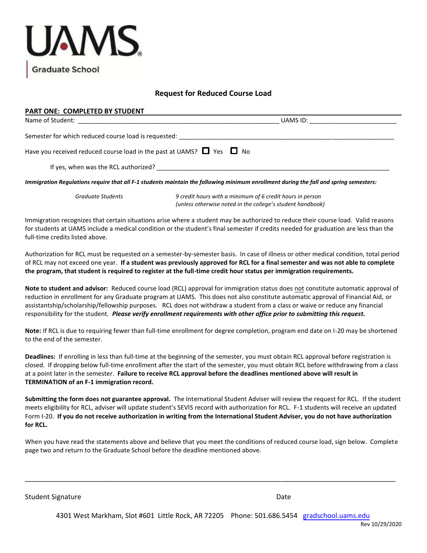

## **Request for Reduced Course Load**

## **PART ONE: COMPLETED BY STUDENT**  Name of Student: \_\_\_\_\_\_\_\_\_\_\_\_\_\_\_\_\_\_\_\_\_\_\_\_\_\_\_\_\_\_\_\_\_\_\_\_\_\_\_\_\_\_\_\_\_\_\_\_\_\_\_\_\_\_\_\_\_\_ UAMS ID: \_\_\_\_\_\_\_\_\_\_\_\_\_\_\_\_\_\_\_\_\_\_\_\_\_

Semester for which reduced course load is requested:

Have you received reduced course load in the past at UAMS?  $\Box$  Yes  $\Box$  No

If yes, when was the RCL authorized? \_\_\_\_\_\_\_\_\_\_

*Immigration Regulations require that all F-1 students maintain the following minimum enrollment during the fall and spring semesters:* 

*Graduate Students 9 credit hours with a minimum of 6 credit hours in person (unless otherwise noted in the college's student handbook)* 

Immigration recognizes that certain situations arise where a student may be authorized to reduce their course load. Valid reasons for students at UAMS include a medical condition or the student's final semester if credits needed for graduation are less than the full-time credits listed above.

Authorization for RCL must be requested on a semester-by-semester basis. In case of illness or other medical condition, total period of RCL may not exceed one year. **If a student was previously approved for RCL for a final semester and was not able to complete the program, that student is required to register at the full-time credit hour status per immigration requirements.** 

**Note to student and advisor:** Reduced course load (RCL) approval for immigration status does not constitute automatic approval of reduction in enrollment for any Graduate program at UAMS. This does not also constitute automatic approval of Financial Aid, or assistantship/scholarship/fellowship purposes. RCL does not withdraw a student from a class or waive or reduce any financial responsibility for the student. *Please verify enrollment requirements with other office prior to submitting this request.*

**Note:** If RCL is due to requiring fewer than full-time enrollment for degree completion, program end date on I-20 may be shortened to the end of the semester.

**Deadlines:** If enrolling in less than full-time at the beginning of the semester, you must obtain RCL approval before registration is closed. If dropping below full-time enrollment after the start of the semester, you must obtain RCL before withdrawing from a class at a point later in the semester. **Failure to receive RCL approval before the deadlines mentioned above will result in TERMINATION of an F-1 immigration record.**

**Submitting the form does not guarantee approval.** The International Student Adviser will review the request for RCL. If the student meets eligibility for RCL, adviser will update student's SEVIS record with authorization for RCL. F-1 students will receive an updated Form I-20. **If you do not receive authorization in writing from the International Student Adviser, you do not have authorization for RCL.**

When you have read the statements above and believe that you meet the conditions of reduced course load, sign below. Complete page two and return to the Graduate School before the deadline mentioned above.

\_\_\_\_\_\_\_\_\_\_\_\_\_\_\_\_\_\_\_\_\_\_\_\_\_\_\_\_\_\_\_\_\_\_\_\_\_\_\_\_\_\_\_\_\_\_\_\_\_\_\_\_\_\_\_\_\_\_\_\_\_\_\_\_\_\_\_\_\_\_\_\_\_\_\_\_\_\_\_\_\_\_\_\_\_\_\_\_\_\_\_\_\_\_\_\_\_

Student Signature Date Date of the Student Signature Date Date of the Date of the Date Date of the Date of the Date of the Date of the Date of the Date of the Date of the Date of the Date of the Date of the Date of the Dat

4301 West Markham, Slot #601 Little Rock, AR 72205 Phone: 501.686.5454 [gradschool.uams.e](file:///C:/Users/douglassallysonb/Documents/gradschool.uams.edu)du